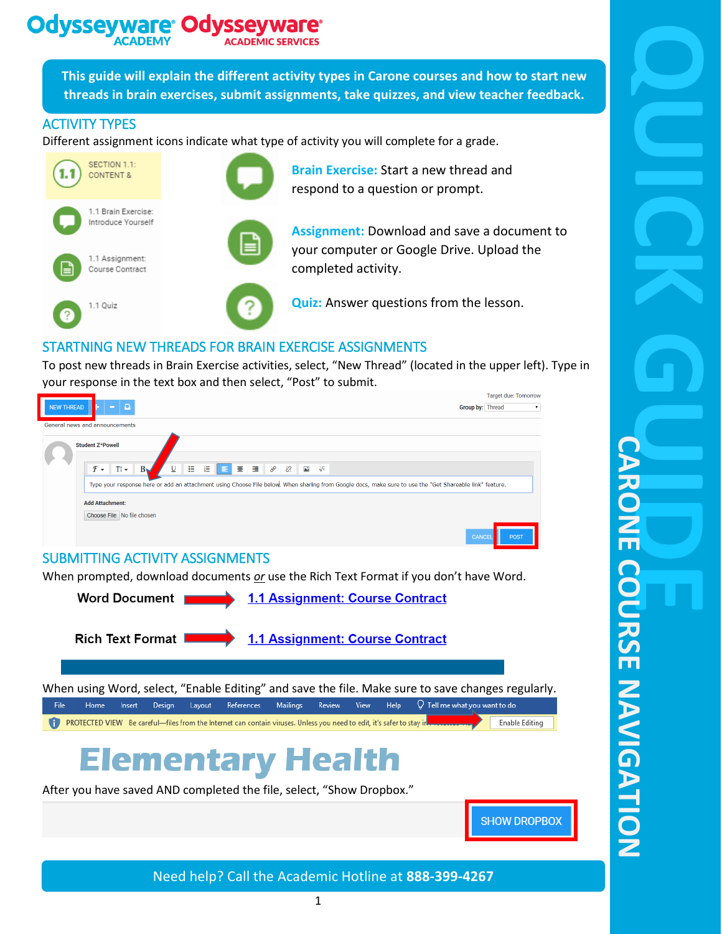# Odysseyware<sup>®</sup> Odysseywa

**This guide will explain the different activity types in Carone courses and how to start new threads in brain exercises, submit assignments, take quizzes, and view teacher feedback.**

#### ACTIVITY TYPES

Different assignment icons indicate what type of activity you will complete for a grade.



**Brain Exercise:** Start a new thread and respond to a question or prompt.

**Assignment:** Download and save a document to your computer or Google Drive. Upload the completed activity.

**Quiz:** Answer questions from the lesson.

### STARTNING NEW THREADS FOR BRAIN EXERCISE ASSIGNMENTS

To post new threads in Brain Exercise activities, select, "New Thread" (located in the upper left). Type in your response in the text box and then select, "Post" to submit.



Need help? Call the Academic Hotline at **888-399-4267**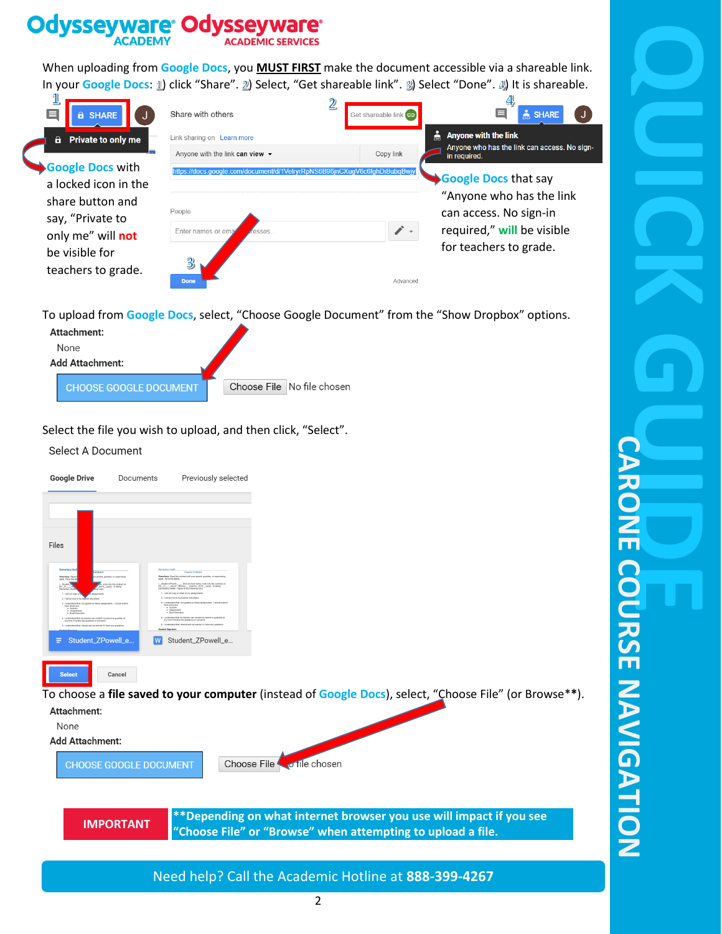# **Odysseyware® Odvssevwa**

When uploading from **Google Docs**, you **MUST FIRST** make the document accessible via a shareable link. In your **Google Docs**: 1) click "Share". 2) Select, "Get shareable link". 3) Select "Done". 4) It is shareable.

| ╩<br><b>A</b> SHARE<br>J                                                         | Share with others                                                                   | $\overline{2}$<br>Get shareable link | $\frac{1}{60}$ SHARE<br>ᆸ                                                  |
|----------------------------------------------------------------------------------|-------------------------------------------------------------------------------------|--------------------------------------|----------------------------------------------------------------------------|
| Private to only me<br>Θ.                                                         | Link sharing on Learn more                                                          |                                      | ė.<br>Anyone with the link                                                 |
|                                                                                  | Anyone with the link can view $\blacktriangledown$                                  | Copy link                            | Anyone who has the link can access. No sign-<br>in required.               |
| Google Docs with<br>a locked icon in the<br>share button and<br>say, "Private to | https://docs.google.com/document/d/1VelryrRpNS6B96jnCXuqV6c6fghDiBubqBwiy<br>People |                                      | Google Docs that say<br>"Anyone who has the link<br>can access. No sign-in |
| only me" will not                                                                | Enter names or email<br>resses                                                      | ブー                                   | required," will be visible                                                 |
| be visible for<br>teachers to grade.                                             | $\overline{\mathbf{3}}$<br>Done                                                     | Advanced                             | for teachers to grade.                                                     |

To upload from **Google Docs**, select, "Choose Google Document" from the "Show Dropbox" options.

| Attachment:            |  |                            |
|------------------------|--|----------------------------|
| None                   |  |                            |
| <b>Add Attachment:</b> |  |                            |
| CHOOSE GOOGLE DOCUMENT |  | Choose File No file chosen |

#### Select the file you wish to upload, and then click, "Select".

Select A Document



**OUR COURSE COURSE NAVIGATION** ARONE COURSE NAVIGATION

#### Need help? Call the Academic Hotline at **888-399-4267**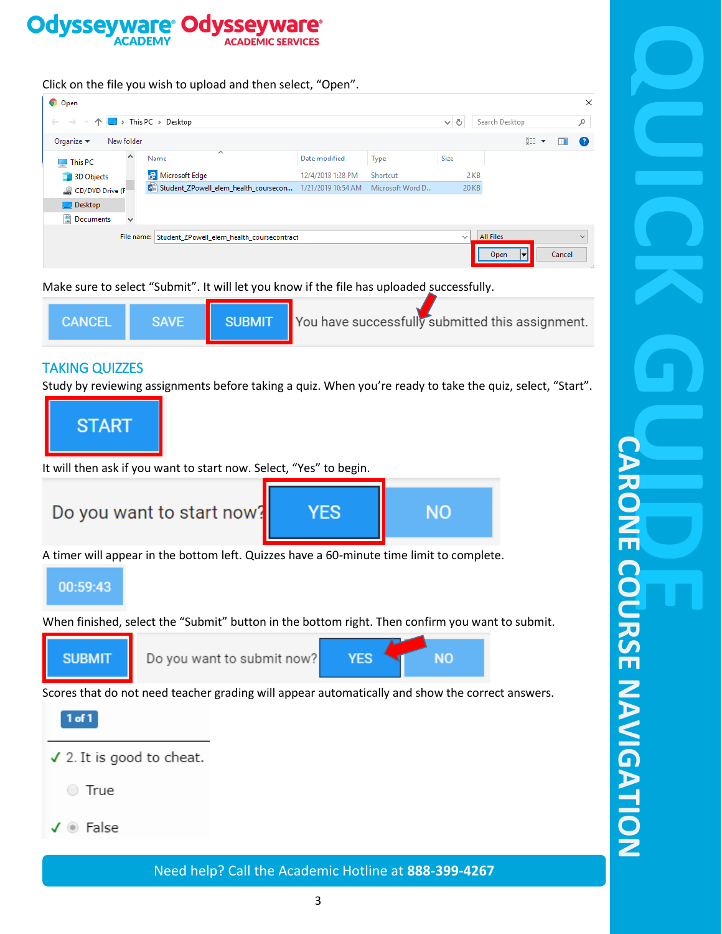# **Odysseyv**

Click on the file you wish to upload and then select, "Open".

| <b>O</b> Open                                |                                            |                    |                  |                   |                  |        | $\times$          |
|----------------------------------------------|--------------------------------------------|--------------------|------------------|-------------------|------------------|--------|-------------------|
| $\leftarrow$ $\rightarrow$<br>一个             | $\frac{1}{2}$ > This PC > Desktop          |                    |                  | Ō<br>$\checkmark$ | Search Desktop   |        | ٩                 |
| Organize $\blacktriangleright$<br>New folder |                                            |                    |                  |                   | 明→               |        | $\left( 2\right)$ |
| ۸<br>$\blacksquare$ This PC                  | $\wedge$<br>Name                           | Date modified      | Type             | <b>Size</b>       |                  |        |                   |
| 3D Objects                                   | <b>P</b> Microsoft Edge                    | 12/4/2018 1:28 PM  | Shortcut         | 2 KB              |                  |        |                   |
| CD/DVD Drive (F                              | Student_ZPowell_elem_health_coursecon      | 1/21/2019 10:54 AM | Microsoft Word D | 20 KB             |                  |        |                   |
| Desktop                                      |                                            |                    |                  |                   |                  |        |                   |
| 兽<br>Documents<br>v                          |                                            |                    |                  |                   |                  |        |                   |
| File name:                                   | Student_ZPowell_elem_health_coursecontract |                    |                  | $\checkmark$      | <b>All Files</b> |        | $\checkmark$      |
|                                              |                                            |                    |                  |                   | Open             | Cancel |                   |

Make sure to select "Submit". It will let you know if the file has uploaded successfully.

| <b>CANCEL</b> SAVE SAVE SUBMIT You have successfully submitted this assignment. |
|---------------------------------------------------------------------------------|
|---------------------------------------------------------------------------------|

#### TAKING QUIZZES

Study by reviewing assignments before taking a quiz. When you're ready to take the quiz, select, "Start".